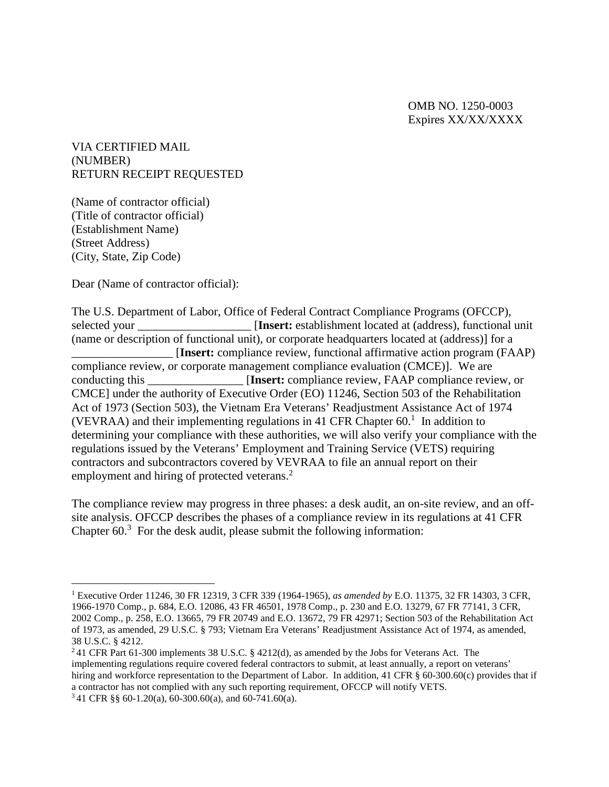OMB NO. 1250-0003 Expires XX/XX/XXXX

VIA CERTIFIED MAIL (NUMBER) RETURN RECEIPT REQUESTED

(Name of contractor official) (Title of contractor official) (Establishment Name) (Street Address) (City, State, Zip Code)

Dear (Name of contractor official):

The U.S. Department of Labor, Office of Federal Contract Compliance Programs (OFCCP), selected your **Insert:** establishment located at (address), functional unit (name or description of functional unit), or corporate headquarters located at (address)] for a \_\_\_\_\_\_\_\_\_\_\_\_\_\_\_\_\_ [**Insert:** compliance review, functional affirmative action program (FAAP) compliance review, or corporate management compliance evaluation (CMCE)]. We are conducting this **Insert:** compliance review, FAAP compliance review, or CMCE] under the authority of Executive Order (EO) 11246, Section 503 of the Rehabilitation Act of 1973 (Section 503), the Vietnam Era Veterans' Readjustment Assistance Act of 1974 (VEVRAA) and their implementing regulations in 41 CFR Chapter  $60<sup>1</sup>$  In addition to determining your compliance with these authorities, we will also verify your compliance with the regulations issued by the Veterans' Employment and Training Service (VETS) requiring contractors and subcontractors covered by VEVRAA to file an annual report on their employment and hiring of protected veterans.<sup>2</sup>

The compliance review may progress in three phases: a desk audit, an on-site review, and an offsite analysis. OFCCP describes the phases of a compliance review in its regulations at 41 CFR Chapter  $60<sup>3</sup>$  For the desk audit, please submit the following information:

<sup>1</sup> Executive Order 11246, 30 FR 12319, 3 CFR 339 (1964-1965), *as amended by* E.O. 11375, 32 FR 14303, 3 CFR, 1966-1970 Comp., p. 684, E.O. 12086, 43 FR 46501, 1978 Comp., p. 230 and E.O. 13279, 67 FR 77141, 3 CFR, 2002 Comp., p. 258, E.O. 13665, 79 FR 20749 and E.O. 13672, 79 FR 42971; Section 503 of the Rehabilitation Act of 1973, as amended, 29 U.S.C. § 793; Vietnam Era Veterans' Readjustment Assistance Act of 1974, as amended, 38 U.S.C. § 4212.

<sup>2</sup> 41 CFR Part 61-300 implements 38 U.S.C. § 4212(d), as amended by the Jobs for Veterans Act. The implementing regulations require covered federal contractors to submit, at least annually, a report on veterans' hiring and workforce representation to the Department of Labor. In addition, 41 CFR § 60-300.60(c) provides that if a contractor has not complied with any such reporting requirement, OFCCP will notify VETS.  $341$  CFR §§ 60-1.20(a), 60-300.60(a), and 60-741.60(a).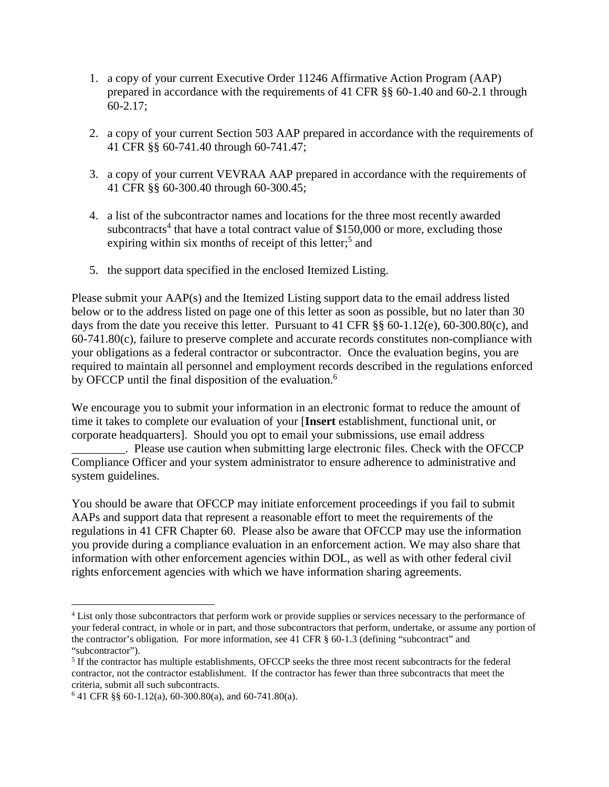- 1. a copy of your current Executive Order 11246 Affirmative Action Program (AAP) prepared in accordance with the requirements of 41 CFR §§ 60-1.40 and 60-2.1 through 60-2.17;
- 2. a copy of your current Section 503 AAP prepared in accordance with the requirements of 41 CFR §§ 60-741.40 through 60-741.47;
- 3. a copy of your current VEVRAA AAP prepared in accordance with the requirements of 41 CFR §§ 60-300.40 through 60-300.45;
- 4. a list of the subcontractor names and locations for the three most recently awarded subcontracts<sup>4</sup> that have a total contract value of \$150,000 or more, excluding those expiring within six months of receipt of this letter;<sup>5</sup> and
- 5. the support data specified in the enclosed Itemized Listing.

Please submit your AAP(s) and the Itemized Listing support data to the email address listed below or to the address listed on page one of this letter as soon as possible, but no later than 30 days from the date you receive this letter. Pursuant to 41 CFR §§ 60-1.12(e), 60-300.80(c), and 60-741.80(c), failure to preserve complete and accurate records constitutes non-compliance with your obligations as a federal contractor or subcontractor. Once the evaluation begins, you are required to maintain all personnel and employment records described in the regulations enforced by OFCCP until the final disposition of the evaluation.<sup>6</sup>

We encourage you to submit your information in an electronic format to reduce the amount of time it takes to complete our evaluation of your [**Insert** establishment, functional unit, or corporate headquarters]. Should you opt to email your submissions, use email address . Please use caution when submitting large electronic files. Check with the OFCCP Compliance Officer and your system administrator to ensure adherence to administrative and system guidelines.

You should be aware that OFCCP may initiate enforcement proceedings if you fail to submit AAPs and support data that represent a reasonable effort to meet the requirements of the regulations in 41 CFR Chapter 60. Please also be aware that OFCCP may use the information you provide during a compliance evaluation in an enforcement action. We may also share that information with other enforcement agencies within DOL, as well as with other federal civil rights enforcement agencies with which we have information sharing agreements.

<sup>4</sup> List only those subcontractors that perform work or provide supplies or services necessary to the performance of your federal contract, in whole or in part, and those subcontractors that perform, undertake, or assume any portion of the contractor's obligation. For more information, see 41 CFR § 60-1.3 (defining "subcontract" and "subcontractor").

<sup>&</sup>lt;sup>5</sup> If the contractor has multiple establishments, OFCCP seeks the three most recent subcontracts for the federal contractor, not the contractor establishment. If the contractor has fewer than three subcontracts that meet the criteria, submit all such subcontracts.

 $641$  CFR §§ 60-1.12(a), 60-300.80(a), and 60-741.80(a).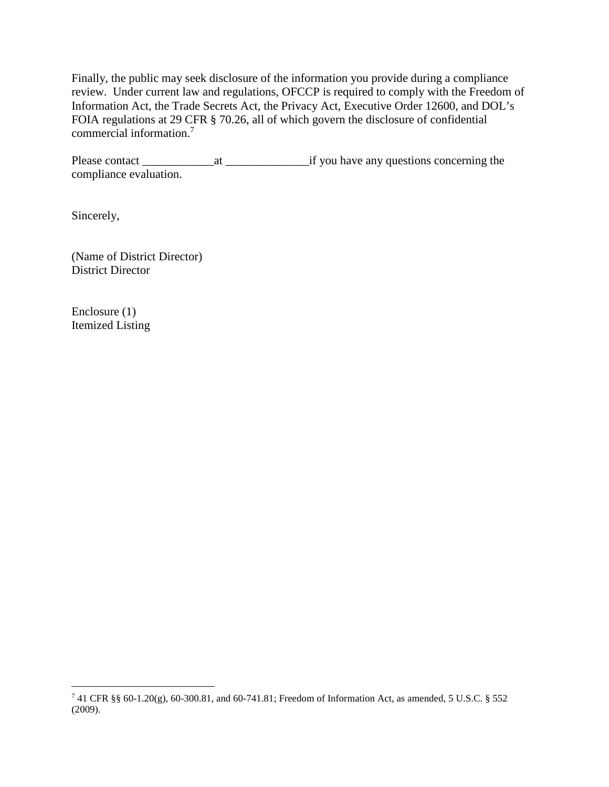Finally, the public may seek disclosure of the information you provide during a compliance review. Under current law and regulations, OFCCP is required to comply with the Freedom of Information Act, the Trade Secrets Act, the Privacy Act, Executive Order 12600, and DOL's FOIA regulations at 29 CFR § 70.26, all of which govern the disclosure of confidential commercial information.<sup>7</sup>

Please contact \_\_\_\_\_\_\_\_\_\_\_\_at \_\_\_\_\_\_\_\_\_\_\_\_\_\_if you have any questions concerning the compliance evaluation.

Sincerely,

(Name of District Director) District Director

Enclosure (1) Itemized Listing

<sup>7</sup> 41 CFR §§ 60-1.20(g), 60-300.81, and 60-741.81; Freedom of Information Act, as amended, 5 U.S.C. § 552 (2009).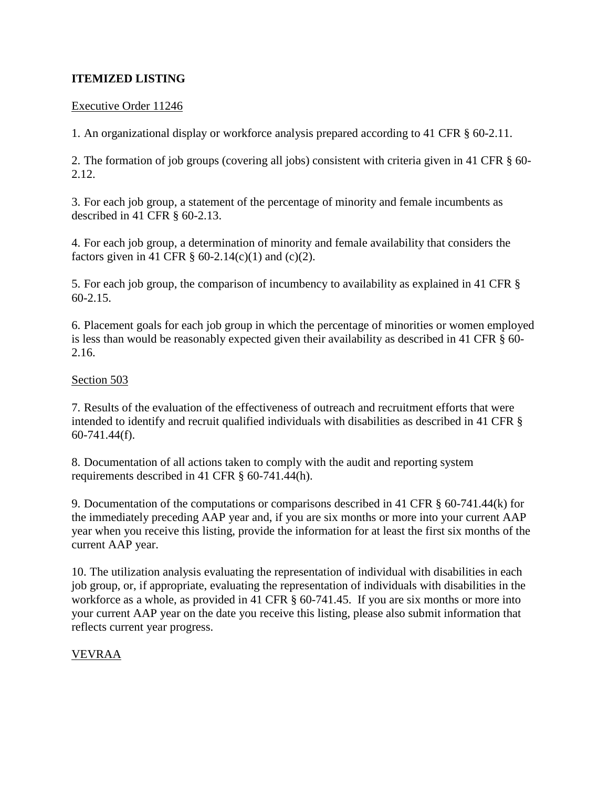# **ITEMIZED LISTING**

### Executive Order 11246

1. An organizational display or workforce analysis prepared according to 41 CFR § 60-2.11.

2. The formation of job groups (covering all jobs) consistent with criteria given in 41 CFR § 60- 2.12.

3. For each job group, a statement of the percentage of minority and female incumbents as described in 41 CFR § 60-2.13.

4. For each job group, a determination of minority and female availability that considers the factors given in 41 CFR  $\S$  60-2.14(c)(1) and (c)(2).

5. For each job group, the comparison of incumbency to availability as explained in 41 CFR § 60-2.15.

6. Placement goals for each job group in which the percentage of minorities or women employed is less than would be reasonably expected given their availability as described in 41 CFR § 60- 2.16.

## Section 503

7. Results of the evaluation of the effectiveness of outreach and recruitment efforts that were intended to identify and recruit qualified individuals with disabilities as described in 41 CFR § 60-741.44(f).

8. Documentation of all actions taken to comply with the audit and reporting system requirements described in 41 CFR § 60-741.44(h).

9. Documentation of the computations or comparisons described in 41 CFR § 60-741.44(k) for the immediately preceding AAP year and, if you are six months or more into your current AAP year when you receive this listing, provide the information for at least the first six months of the current AAP year.

10. The utilization analysis evaluating the representation of individual with disabilities in each job group, or, if appropriate, evaluating the representation of individuals with disabilities in the workforce as a whole, as provided in 41 CFR  $\S$  60-741.45. If you are six months or more into your current AAP year on the date you receive this listing, please also submit information that reflects current year progress.

## VEVRAA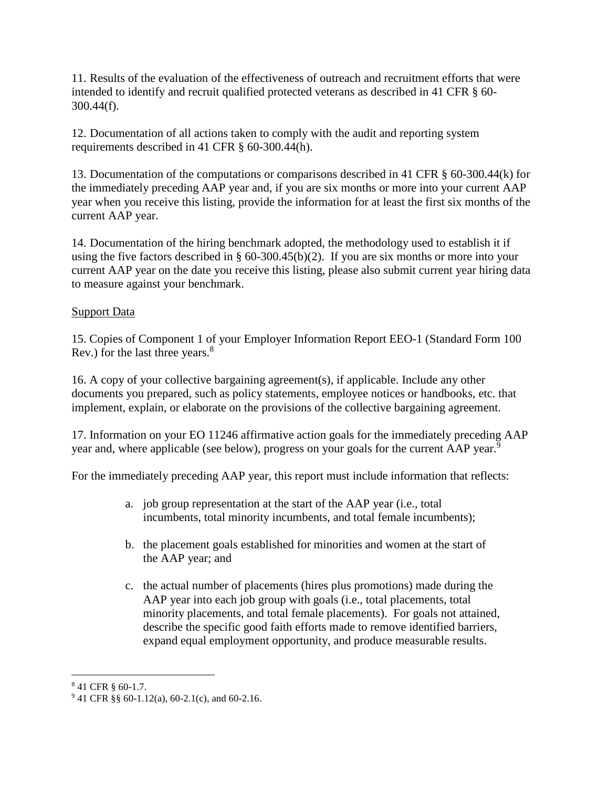11. Results of the evaluation of the effectiveness of outreach and recruitment efforts that were intended to identify and recruit qualified protected veterans as described in 41 CFR § 60- 300.44(f).

12. Documentation of all actions taken to comply with the audit and reporting system requirements described in 41 CFR § 60-300.44(h).

13. Documentation of the computations or comparisons described in 41 CFR § 60-300.44(k) for the immediately preceding AAP year and, if you are six months or more into your current AAP year when you receive this listing, provide the information for at least the first six months of the current AAP year.

14. Documentation of the hiring benchmark adopted, the methodology used to establish it if using the five factors described in § 60-300.45(b)(2). If you are six months or more into your current AAP year on the date you receive this listing, please also submit current year hiring data to measure against your benchmark.

## Support Data

15. Copies of Component 1 of your Employer Information Report EEO-1 (Standard Form 100 Rev.) for the last three years.<sup>8</sup>

16. A copy of your collective bargaining agreement(s), if applicable. Include any other documents you prepared, such as policy statements, employee notices or handbooks, etc. that implement, explain, or elaborate on the provisions of the collective bargaining agreement.

17. Information on your EO 11246 affirmative action goals for the immediately preceding AAP year and, where applicable (see below), progress on your goals for the current AAP year.<sup>9</sup>

For the immediately preceding AAP year, this report must include information that reflects:

- a. job group representation at the start of the AAP year (i.e., total incumbents, total minority incumbents, and total female incumbents);
- b. the placement goals established for minorities and women at the start of the AAP year; and
- c. the actual number of placements (hires plus promotions) made during the AAP year into each job group with goals (i.e., total placements, total minority placements, and total female placements). For goals not attained, describe the specific good faith efforts made to remove identified barriers, expand equal employment opportunity, and produce measurable results.

<sup>8</sup> 41 CFR § 60-1.7.

 $941$  CFR §§ 60-1.12(a), 60-2.1(c), and 60-2.16.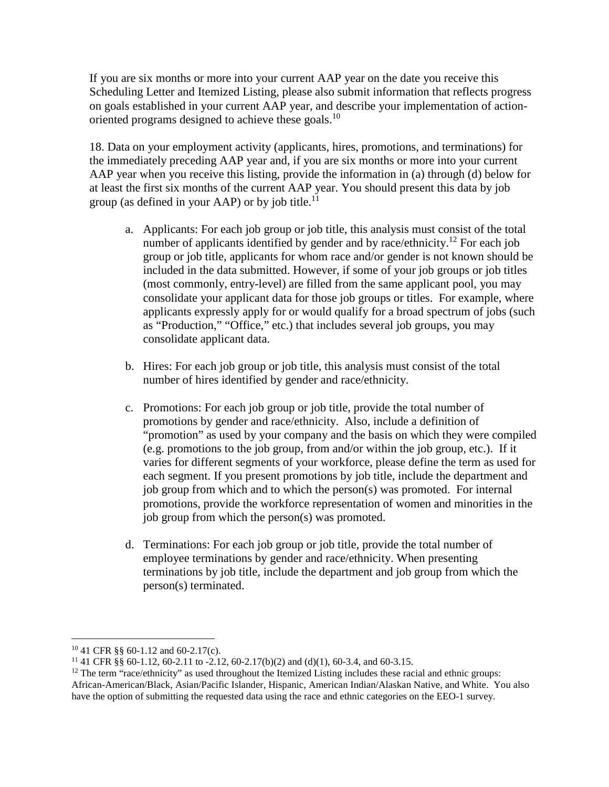If you are six months or more into your current AAP year on the date you receive this Scheduling Letter and Itemized Listing, please also submit information that reflects progress on goals established in your current AAP year, and describe your implementation of actionoriented programs designed to achieve these goals.<sup>10</sup>

18. Data on your employment activity (applicants, hires, promotions, and terminations) for the immediately preceding AAP year and, if you are six months or more into your current AAP year when you receive this listing, provide the information in (a) through (d) below for at least the first six months of the current AAP year. You should present this data by job group (as defined in your AAP) or by job title.<sup>11</sup>

- a. Applicants: For each job group or job title, this analysis must consist of the total number of applicants identified by gender and by race/ethnicity.<sup>12</sup> For each job group or job title, applicants for whom race and/or gender is not known should be included in the data submitted. However, if some of your job groups or job titles (most commonly, entry-level) are filled from the same applicant pool, you may consolidate your applicant data for those job groups or titles. For example, where applicants expressly apply for or would qualify for a broad spectrum of jobs (such as "Production," "Office," etc.) that includes several job groups, you may consolidate applicant data.
- b. Hires: For each job group or job title, this analysis must consist of the total number of hires identified by gender and race/ethnicity.
- c. Promotions: For each job group or job title, provide the total number of promotions by gender and race/ethnicity. Also, include a definition of "promotion" as used by your company and the basis on which they were compiled (e.g. promotions to the job group, from and/or within the job group, etc.). If it varies for different segments of your workforce, please define the term as used for each segment. If you present promotions by job title, include the department and job group from which and to which the person(s) was promoted. For internal promotions, provide the workforce representation of women and minorities in the job group from which the person(s) was promoted.
- d. Terminations: For each job group or job title, provide the total number of employee terminations by gender and race/ethnicity. When presenting terminations by job title, include the department and job group from which the person(s) terminated.

<sup>10</sup> 41 CFR §§ 60-1.12 and 60-2.17(c).

<sup>&</sup>lt;sup>11</sup> 41 CFR §§ 60-1.12, 60-2.11 to -2.12, 60-2.17(b)(2) and (d)(1), 60-3.4, and 60-3.15.

 $12$  The term "race/ethnicity" as used throughout the Itemized Listing includes these racial and ethnic groups: African-American/Black, Asian/Pacific Islander, Hispanic, American Indian/Alaskan Native, and White. You also have the option of submitting the requested data using the race and ethnic categories on the EEO-1 survey.